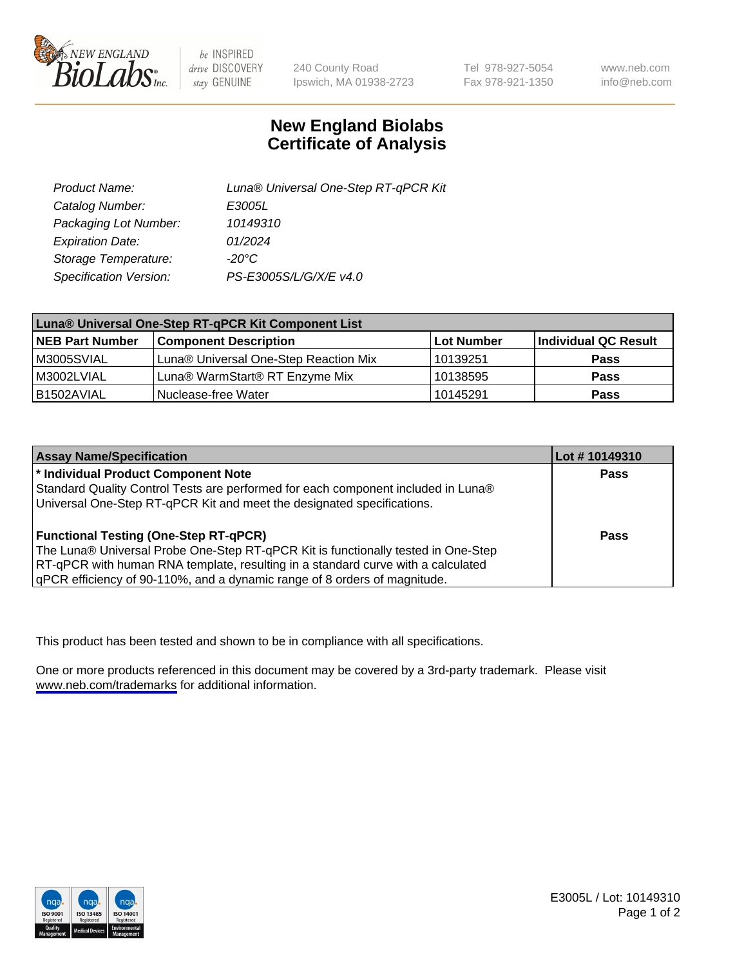

be INSPIRED drive DISCOVERY stay GENUINE

240 County Road Ipswich, MA 01938-2723 Tel 978-927-5054 Fax 978-921-1350

www.neb.com info@neb.com

## **New England Biolabs Certificate of Analysis**

| Product Name:           | Luna® Universal One-Step RT-qPCR Kit |  |
|-------------------------|--------------------------------------|--|
| Catalog Number:         | E3005L                               |  |
| Packaging Lot Number:   | 10149310                             |  |
| <b>Expiration Date:</b> | 01/2024                              |  |
| Storage Temperature:    | $-20^{\circ}$ C                      |  |
| Specification Version:  | PS-E3005S/L/G/X/E v4.0               |  |

| Luna® Universal One-Step RT-qPCR Kit Component List |                                       |            |                      |
|-----------------------------------------------------|---------------------------------------|------------|----------------------|
| <b>NEB Part Number</b>                              | <b>Component Description</b>          | Lot Number | Individual QC Result |
| M3005SVIAL                                          | Luna® Universal One-Step Reaction Mix | 10139251   | <b>Pass</b>          |
| M3002LVIAL                                          | Luna® WarmStart® RT Enzyme Mix        | 10138595   | <b>Pass</b>          |
| B1502AVIAL                                          | Nuclease-free Water                   | 10145291   | <b>Pass</b>          |

| <b>Assay Name/Specification</b>                                                   | Lot #10149310 |
|-----------------------------------------------------------------------------------|---------------|
| * Individual Product Component Note                                               | Pass          |
| Standard Quality Control Tests are performed for each component included in Luna® |               |
| Universal One-Step RT-qPCR Kit and meet the designated specifications.            |               |
| <b>Functional Testing (One-Step RT-qPCR)</b>                                      | Pass          |
| The Luna® Universal Probe One-Step RT-qPCR Kit is functionally tested in One-Step |               |
| RT-qPCR with human RNA template, resulting in a standard curve with a calculated  |               |
| qPCR efficiency of 90-110%, and a dynamic range of 8 orders of magnitude.         |               |

This product has been tested and shown to be in compliance with all specifications.

One or more products referenced in this document may be covered by a 3rd-party trademark. Please visit <www.neb.com/trademarks>for additional information.